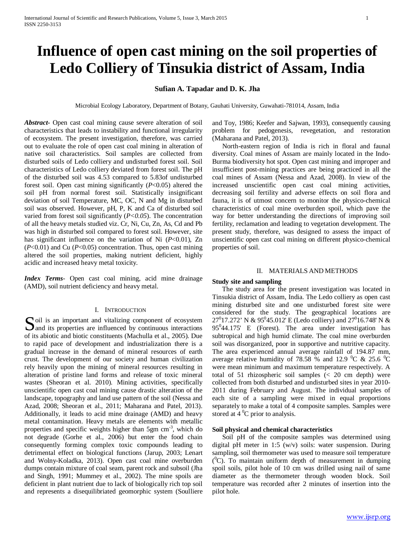# **Influence of open cast mining on the soil properties of Ledo Colliery of Tinsukia district of Assam, India**

# **Sufian A. Tapadar and D. K. Jha**

Microbial Ecology Laboratory, Department of Botany, Gauhati University, Guwahati-781014, Assam, India

*Abstract***-** Open cast coal mining cause severe alteration of soil characteristics that leads to instability and functional irregularity of ecosystem. The present investigation, therefore, was carried out to evaluate the role of open cast coal mining in alteration of native soil characteristics. Soil samples are collected from disturbed soils of Ledo colliery and undisturbed forest soil. Soil characteristics of Ledo colliery deviated from forest soil. The pH of the disturbed soil was 4.53 compared to 5.83of undisturbed forest soil. Open cast mining significantly (*P*<0.05) altered the soil pH from normal forest soil. Statistically insignificant deviation of soil Temperature, MC, OC, N and Mg in disturbed soil was observed. However, pH, P, K and Ca of disturbed soil varied from forest soil significantly (*P<0.05*). The concentration of all the heavy metals studied viz. Cr, Ni, Cu, Zn, As, Cd and Pb was high in disturbed soil compared to forest soil. However, site has significant influence on the variation of Ni ( $P<0.01$ ), Zn (*P*<0.01) and Cu (*P*<0.05) concentration. Thus, open cast mining altered the soil properties, making nutrient deficient, highly acidic and increased heavy metal toxicity.

*Index Terms*- Open cast coal mining, acid mine drainage (AMD), soil nutrient deficiency and heavy metal.

# I. INTRODUCTION

oil is an important and vitalizing component of ecosystem **Solution** is an important and vitalizing component of ecosystem<br>
and its properties are influenced by continuous interactions<br>  $\sum_{n=1}^{\infty}$ of its abiotic and biotic constituents (Machulla et al., 2005). Due to rapid pace of development and industrialization there is a gradual increase in the demand of mineral resources of earth crust. The development of our society and human civilization rely heavily upon the mining of mineral resources resulting in alteration of pristine land forms and release of toxic mineral wastes (Sheoran et al. 2010). Mining activities, specifically unscientific open cast coal mining cause drastic alteration of the landscape, topography and land use pattern of the soil (Nessa and Azad, 2008; Sheoran et al., 2011; Maharana and Patel, 2013). Additionally, it leads to acid mine drainage (AMD) and heavy metal contamination. Heavy metals are elements with metallic properties and specific weights higher than 5gm cm<sup>-3</sup>, which do not degrade (Gorhe et al., 2006) but enter the food chain consequently forming complex toxic compounds leading to detrimental effect on biological functions (Jarup, 2003; Lenart and Wolny-Koladka, 2013). Open cast coal mine overburden dumps contain mixture of coal seam, parent rock and subsoil (Jha and Singh, 1991; Mummey et al., 2002). The mine spoils are deficient in plant nutrient due to lack of biologically rich top soil and represents a disequilibriated geomorphic system (Soulliere

and Toy, 1986; Keefer and Sajwan, 1993), consequently causing problem for pedogenesis, revegetation, and restoration (Maharana and Patel, 2013).

 North-eastern region of India is rich in floral and faunal diversity. Coal mines of Assam are mainly located in the Indo-Burma biodiversity hot spot. Open cast mining and improper and insufficient post-mining practices are being practiced in all the coal mines of Assam (Nessa and Azad, 2008). In view of the increased unscientific open cast coal mining activities, decreasing soil fertility and adverse effects on soil flora and fauna, it is of utmost concern to monitor the physico-chemical characteristics of coal mine overburden spoil, which pave the way for better understanding the directions of improving soil fertility, reclamation and leading to vegetation development. The present study, therefore, was designed to assess the impact of unscientific open cast coal mining on different physico-chemical properties of soil.

#### II. MATERIALS AND METHODS

#### **Study site and sampling**

 The study area for the present investigation was located in Tinsukia district of Assam, India. The Ledo colliery as open cast mining disturbed site and one undisturbed forest site were considered for the study. The geographical locations are 27<sup>0</sup>17.272' N & 95<sup>0</sup>45.012' E (Ledo colliery) and 27<sup>0</sup>16.748' N & 95<sup>0</sup>44.175' E (Forest). The area under investigation has subtropical and high humid climate. The coal mine overburden soil was disorganized, poor in supportive and nutritive capacity. The area experienced annual average rainfall of 194.87 mm, average relative humidity of 78.58 % and 12.9  $\rm{^0C}$  & 25.6  $\rm{^0C}$ were mean minimum and maximum temperature respectively. A total of 51 rhizospheric soil samples (< 20 cm depth) were collected from both disturbed and undisturbed sites in year 2010- 2011 during February and August. The individual samples of each site of a sampling were mixed in equal proportions separately to make a total of 4 composite samples. Samples were stored at  $4^{\circ}$ C prior to analysis.

# **Soil physical and chemical characteristics**

 Soil pH of the composite samples was determined using digital pH meter in 1:5 (w/v) soils: water suspension. During sampling, soil thermometer was used to measure soil temperature  $(^{0}C)$ . To maintain uniform depth of measurement in dumping spoil soils, pilot hole of 10 cm was drilled using nail of same diameter as the thermometer through wooden block. Soil temperature was recorded after 2 minutes of insertion into the pilot hole.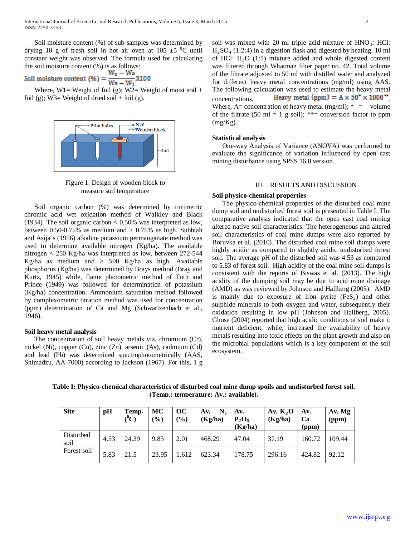Soil moisture content (%) of sub-samples was determined by drying 10 g of fresh soil in hot air oven at 105  $\pm$ 5 <sup>0</sup>C until constant weight was observed. The formula used for calculating the soil moisture content (%) is as follows:

 $W_2-W_3$ Soil moisture content (%) =  $\frac{12}{W_3 - W_1}$ X100

Where,  $W1=$  Weight of foil (g);  $W2=$  Weight of moist soil + foil (g); W3= Weight of dried soil + foil (g).



Figure 1: Design of wooden block to measure soil temperature

 Soil organic carbon (%) was determined by titrimetric chromic acid wet oxidation method of Walkley and Black (1934). The soil organic carbon  $< 0.50\%$  was interpreted as low, between  $0.50$ -0.75% as medium and  $> 0.75$ % as high. Subbiah and Asija's (1956) alkaline potassium permanganate method was used to determine available nitrogen (Kg/ha). The available nitrogen < 250 Kg/ha was interpreted as low, between 272-544 Kg/ha as medium and > 500 Kg/ha as high. Available phosphorus (Kg/ha) was determined by Brays method (Bray and Kurtz, 1945) while, flame photometric method of Toth and Prince (1949) was followed for determination of potassium (Kg/ha) concentration. Ammonium saturation method followed by complexometric titration method was used for concentration (ppm) determination of Ca and Mg (Schwartzenbach et al., 1946).

## **Soil heavy metal analysis**

 The concentration of soil heavy metals viz. chromium (Cr), nickel (Ni), copper (Cu), zinc (Zn), arsenic (As), cadmium (Cd) and lead (Pb) was determined spectrophotometrically (AAS, Shimadzu, AA-7000) according to Jackson (1967). For this, 1 g soil was mixed with 20 ml triple acid mixture of  $HNO<sub>3</sub>$ : HCl: H2SO4 (1:2:4) in a digestion flask and digested by heating. 10 ml of HCl:  $H_2O(1:1)$  mixture added and whole digested content was filtered through Whatman filter paper no. 42. Total volume of the filtrate adjusted to 50 ml with distilled water and analyzed for different heavy metal concentrations (mg/ml) using AAS. The following calculation was used to estimate the heavy metal concentrations. Heavy metal  $(ppm) = A \times 50^{\circ} \times 1000^{\circ\circ}$ Where,  $A=$  concentration of heavy metal (mg/ml);  $* =$  volume of the filtrate (50 ml = 1 g soil); \*\*= conversion factor to ppm (mg/Kg).

# **Statistical analysis**

 One-way Analysis of Variance (ANOVA) was performed to evaluate the significance of variation influenced by open cast mining disturbance using SPSS 16.0 version.

## III. RESULTS AND DISCUSSION

#### **Soil physico-chemical properties**

 The physico-chemical properties of the disturbed coal mine dump soil and undisturbed forest soil is presented in Table I. The comparative analysis indicated that the open cast coal mining altered native soil characteristics. The heterogeneous and altered soil characteristics of coal mine dumps were also reported by Boruvka et al. (2010). The disturbed coal mine soil dumps were highly acidic as compared to slightly acidic undisturbed forest soil. The average pH of the disturbed soil was 4.53 as compared to 5.83 of forest soil. High acidity of the coal mine soil dumps is consistent with the reports of Biswas et al. (2013). The high acidity of the dumping soil may be due to acid mine drainage (AMD) as was reviewed by Johnson and Hallberg (2005). AMD is mainly due to exposure of iron pyrite  $(F \in S_2)$  and other sulphide minerals to both oxygen and water, subsequently their oxidation resulting in low pH (Johnson and Hallberg, 2005). Ghose (2004) reported that high acidic conditions of soil make it nutrient deficient, while, increased the availability of heavy metals resulting into toxic effects on the plant growth and also on the microbial populations which is a key component of the soil ecosystem.

**Table I: Physico-chemical characteristics of disturbed coal mine dump spoils and undisturbed forest soil. (Temp.: temperature; Av.: available).**

| <b>Site</b>       | pH   | Temp.<br>$(^0\mathrm{C})$ | MC<br>(%) | OC<br>(%) | N <sub>2</sub><br>Av.<br>(Kg/ha) | Av.<br>$P_2O_5$<br>(Kg/ha) | Av. $K_2O$<br>(Kg/ha) | Av.<br>Ca<br>(ppm) | Av. Mg<br>(ppm) |
|-------------------|------|---------------------------|-----------|-----------|----------------------------------|----------------------------|-----------------------|--------------------|-----------------|
| Disturbed<br>soil | 4.53 | 24.39                     | 9.85      | 2.01      | 468.29                           | 47.04                      | 37.19                 | 160.72             | 109.44          |
| Forest soil       | 5.83 | 21.5                      | 23.95     | 1.612     | 623.34                           | 178.75                     | 296.16                | 424.82             | 92.12           |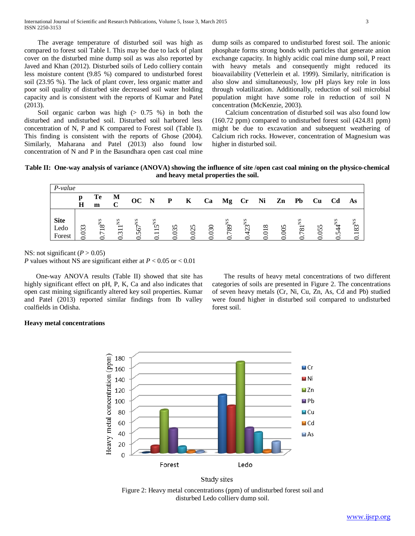The average temperature of disturbed soil was high as compared to forest soil Table I. This may be due to lack of plant cover on the disturbed mine dump soil as was also reported by Javed and Khan (2012). Disturbed soils of Ledo colliery contain less moisture content (9.85 %) compared to undisturbed forest soil (23.95 %). The lack of plant cover, less organic matter and poor soil quality of disturbed site decreased soil water holding capacity and is consistent with the reports of Kumar and Patel (2013).

Soil organic carbon was high  $(> 0.75 \%)$  in both the disturbed and undisturbed soil. Disturbed soil harbored less concentration of N, P and K compared to Forest soil (Table I). This finding is consistent with the reports of Ghose (2004). Similarly, Maharana and Patel (2013) also found low concentration of N and P in the Basundhara open cast coal mine dump soils as compared to undisturbed forest soil. The anionic phosphate forms strong bonds with particles that generate anion exchange capacity. In highly acidic coal mine dump soil, P react with heavy metals and consequently might reduced its bioavailability (Vetterlein et al. 1999). Similarly, nitrification is also slow and simultaneously, low pH plays key role in loss through volatilization. Additionally, reduction of soil microbial population might have some role in reduction of soil N concentration (McKenzie, 2003).

 Calcium concentration of disturbed soil was also found low (160.72 ppm) compared to undisturbed forest soil (424.81 ppm) might be due to excavation and subsequent weathering of Calcium rich rocks. However, concentration of Magnesium was higher in disturbed soil.

**Table II: One-way analysis of variance (ANOVA) showing the influence of site /open cast coal mining on the physico-chemical and heavy metal properties the soil.**

| P-value                       |        |                                 |            |                     |                                                                      |              |              |       |            |                    |       |               |              |     |          |                                              |
|-------------------------------|--------|---------------------------------|------------|---------------------|----------------------------------------------------------------------|--------------|--------------|-------|------------|--------------------|-------|---------------|--------------|-----|----------|----------------------------------------------|
|                               | n<br>Н | Te<br>m                         | M          | OC N                |                                                                      | $\mathbf{P}$ | $\mathbf{K}$ | Ca    | Mg Cr      |                    | $N$ i | $\mathbf{Zn}$ | Pb           | Cu  | Cd       | As                                           |
| <b>Site</b><br>Ledo<br>Forest | 33     | $18^{\rm NS}$<br>$\overline{ }$ | $311^{NS}$ | SN<br>ڡ<br>$\Omega$ | $5^{\rm NS}$<br>$\overline{\phantom{0}}$<br>$\overline{\phantom{0}}$ | 35           | n            | $\Im$ | $789^{NS}$ | $3^{NS}$<br>$\sim$ | 218   | $\mathcal{S}$ | $81^{\circ}$ | 055 | ΧS<br>24 | 83 <sup>NS</sup><br>$\overline{\phantom{0}}$ |

NS: not significant  $(P > 0.05)$ 

*P* values without NS are significant either at *P* < 0.05 or < 0.01

 One-way ANOVA results (Table II) showed that site has highly significant effect on pH, P, K, Ca and also indicates that open cast mining significantly altered key soil properties. Kumar and Patel (2013) reported similar findings from Ib valley coalfields in Odisha.

 The results of heavy metal concentrations of two different categories of soils are presented in Figure 2. The concentrations of seven heavy metals (Cr, Ni, Cu, Zn, As, Cd and Pb) studied were found higher in disturbed soil compared to undisturbed forest soil.

# **Heavy metal concentrations**



Study sites

Figure 2: Heavy metal concentrations (ppm) of undisturbed forest soil and disturbed Ledo colliery dump soil.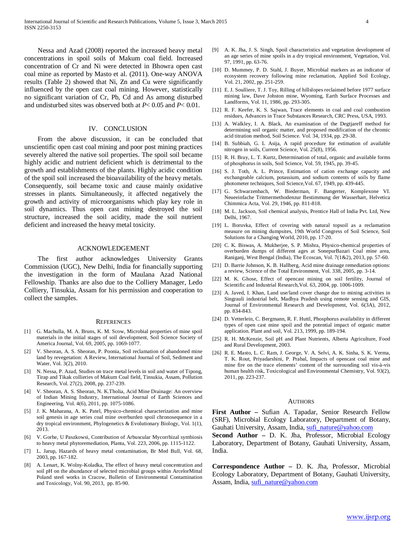Nessa and Azad (2008) reported the increased heavy metal concentrations in spoil soils of Makum coal field. Increased concentration of Cr and Ni were detected in Bhowra open cast coal mine as reported by Masto et al. (2011). One-way ANOVA results (Table 2) showed that Ni, Zn and Cu were significantly influenced by the open cast coal mining. However, statistically no significant variation of Cr, Pb, Cd and As among disturbed and undisturbed sites was observed both at *P*< 0.05 and *P*< 0.01.

### IV. CONCLUSION

 From the above discussion, it can be concluded that unscientific open cast coal mining and poor post mining practices severely altered the native soil properties. The spoil soil became highly acidic and nutrient deficient which is detrimental to the growth and establishments of the plants. Highly acidic condition of the spoil soil increased the bioavailability of the heavy metals. Consequently, soil became toxic and cause mainly oxidative stresses in plants. Simultaneously, it affected negatively the growth and activity of microorganisms which play key role in soil dynamics. Thus open cast mining destroyed the soil structure, increased the soil acidity, made the soil nutrient deficient and increased the heavy metal toxicity.

### ACKNOWLEDGEMENT

 The first author acknowledges University Grants Commission (UGC), New Delhi, India for financially supporting the investigation in the form of Maulana Azad National Fellowship. Thanks are also due to the Colliery Manager, Ledo Colliery, Tinsukia, Assam for his permission and cooperation to collect the samples.

#### **REFERENCES**

- [1] G. Machulla, M. A. Bruns, K. M. Scow, Microbial properties of mine spoil materials in the initial stages of soil development, Soil Science Society of America Journal, Vol. 69, 2005, pp. 1069-1077.
- [2] V. Sheoran, A. S. Sheoran, P. Poonia, Soil reclamation of abandoned mine land by revegetation: A Review, International Journal of Soil, Sediment and Water, Vol. 3(2), 2010.
- [3] N. Nessa, P. Azad, Studies on trace metal levels in soil and water of Tipong, Tirap and Tikak collieries of Makum Coal field, Tinsukia, Assam, Pollution Research, Vol. 27(2), 2008, pp. 237-239.
- [4] V. Sheoran, A. S. Sheoran, N. K.Tholia, Acid Mine Drainage: An overview of Indian Mining Industry, International Journal of Earth Sciences and Engineering, Vol. 4(6), 2011, pp. 1075-1086.
- [5] J. K. Maharana, A. K. Patel, Physico-chemical characterization and mine soil genesis in age series coal mine overburden spoil chronosequence in a dry tropical environment, Phylogenetics & Evolutionary Biology, Vol. 1(1), 2013.
- [6] V. Gorhe, U Paszkowsi, Contribution of Arbuscular Mycorrhizal symbiosis to heavy metal phytoremediation, Planta, Vol. 223, 2006, pp. 1115-1122.
- [7] L. Jarup, Hazards of heavy metal contamination, Br Med Bull, Vol. 68, 2003, pp. 167-182.
- [8] A. Lenart, K. Wolny-Koladka, The effect of heavy metal concentration and soil pH on the abundance of selected microbial groups within ArcelorMittal Poland steel works in Cracow, Bulletin of Environmental Contamination and Toxicology, Vol. 90, 2013, pp. 85-90.
- [9] A. K. Jha, J. S. Singh, Spoil characteristics and vegetation development of an age series of mine spoils in a dry tropical environment, Vegetation, Vol. 97, 1991, pp. 63-76.
- [10] D. Mummey, P. D. Stahl, J. Buyer, Microbial markers as an indicator of ecosystem recovery following mine reclamation, Applied Soil Ecology, Vol. 21, 2002, pp. 251-259.
- [11] E. J. Soulliere, T. J. Toy, Rilling of hillslopes reclaimed before 1977 surface mining law, Dave Johston mine, Wyoming, Earth Surface Processes and Landforms, Vol. 11, 1986, pp. 293-305.
- [12] R. F. Keefer, K. S. Sajwan, Trace elements in coal and coal combustion residues, Advances in Trace Substances Research, CRC Press, USA, 1993.
- [13] A. Walkley, I. A. Black, An examination of the Degtjareff method for determining soil organic matter, and proposed modification of the chromic acid titration method, Soil Science. Vol. 34, 1934, pp. 29-38.
- [14] B. Subbiah, G. L. Asija, A rapid procedure for estimation of available nitrogen in soils, Current Science, Vol. 25(8), 1956.
- [15] R. H. Bray, L. T. Kurtz, Determination of total, organic and available forms of phosphorus in soils, Soil Science, Vol. 59, 1945, pp. 39-45.
- [16] S. J. Toth, A. L. Prince, Estimation of cation exchange capacity and exchangeable calcium, potassium, and sodium contents of soils by flame photometer techniques, Soil Science,Vol. 67, 1949, pp. 439-445.
- [17] G. Schwarzenbach, W. Biederman, F. Bangerter, Komplexone VI. Neueeinfache Tritmermethodenzur Bestimmung der Wasserhart, Helvetica Chimmica Acta, Vol. 29, 1946, pp. 811-818.
- [18] M. L. Jackson, Soil chemical analysis, Prentice Hall of India Pvt. Ltd, New Delhi, 1967.
- [19] L. Boruvka, Effect of covering with natural topsoil as a reclamation measure on mining dumpsites, 19th World Congress of Soil Science, Soil Solutions for a Changing World, 2010, pp. 17-20.
- [20] C. K. Biswas, A. Mukherjee, S. P. Mishra, Physico-chemical properties of overburden dumps of different ages at SonepurBazari Coal mine area, Raniganj, West Bengal (India), The Ecoscan, Vol. 7(1&2), 2013, pp. 57-60.
- [21] D. Barrie Johnson, K. B. Hallberg, Acid mine drainage remediation options: a review, Science of the Total Environment, Vol. 338, 2005, pp. 3-14.
- [22] M. K. Ghose, Effect of opencast mining on soil fertility, Journal of Scientific and Industrial Research,Vol. 63, 2004, pp. 1006-1009.
- [23] A. Javed, I. Khan, Land use/land cover change due to mining activities in Singrauli industrial belt, Madhya Pradesh using remote sensing and GIS, Journal of Environmental Research and Development, Vol. 6(3A), 2012, pp. 834-843.
- [24] D. Vetterlein, C. Bergmann, R. F. Huttl, Phosphorus availability in different types of open cast mine spoil and the potential impact of organic matter application. Plant and soil, Vol. 213, 1999, pp. 189-194.
- [25] R. H. McKenzie, Soil pH and Plant Nutrients, Alberta Agriculture, Food and Rural Development, 2003.
- [26] R. E. Masto, L. C. Ram, J. George, V. A. Selvi, A. K. Sinha, S. K. Verma, T. K. Rout, Priyadarshini, P. Prabal, Impacts of opencast coal mine and mine fire on the trace elements' content of the surrounding soil vis-à-vis human health risk, Toxicological and Environmental Chemistry, Vol. 93(2), 2011, pp. 223-237.

#### AUTHORS

**First Author –** Sufian A. Tapadar, Senior Research Fellow (SRF), Microbial Ecology Laboratory, Department of Botany, Gauhati University, Assam, India, [sufi\\_nature@yahoo.com](mailto:sufi_nature@yahoo.com)

**Second Author –** D. K. Jha, Professor, Microbial Ecology Laboratory, Department of Botany, Gauhati University, Assam, India.

**Correspondence Author –** D. K. Jha, Professor, Microbial Ecology Laboratory, Department of Botany, Gauhati University, Assam, India, [sufi\\_nature@yahoo.com](mailto:sufi_nature@yahoo.com)